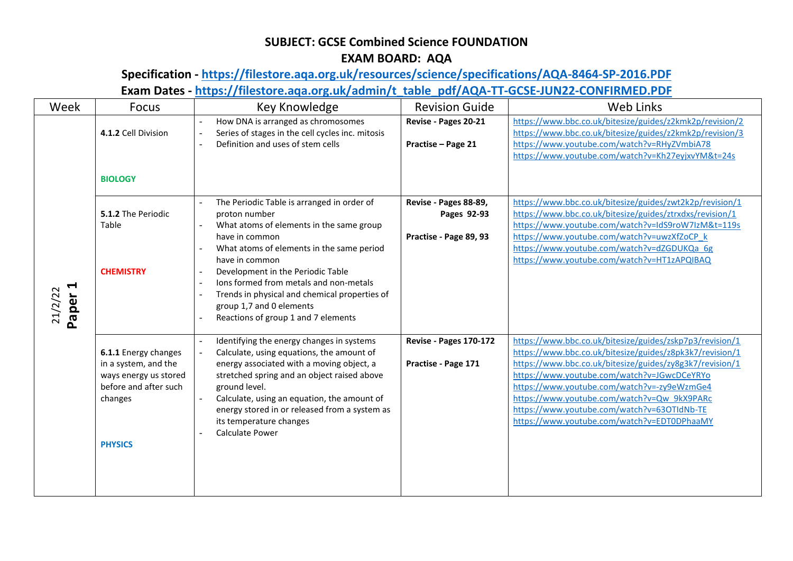## **SUBJECT: GCSE Combined Science FOUNDATION EXAM BOARD: AQA**

## **Specification - <https://filestore.aqa.org.uk/resources/science/specifications/AQA-8464-SP-2016.PDF> Exam Dates - [https://filestore.aqa.org.uk/admin/t\\_table\\_pdf/AQA-TT-GCSE-JUN22-CONFIRMED.PDF](https://filestore.aqa.org.uk/admin/t_table_pdf/AQA-TT-GCSE-JUN22-CONFIRMED.PDF)**

| Week                                     | Focus                                                                                                                       | Key Knowledge                                                                                                                                                                                                                                                                                                                                                                               | <b>Revision Guide</b>                                          | <b>Web Links</b>                                                                                                                                                                                                                                                                                                                                                                                                            |
|------------------------------------------|-----------------------------------------------------------------------------------------------------------------------------|---------------------------------------------------------------------------------------------------------------------------------------------------------------------------------------------------------------------------------------------------------------------------------------------------------------------------------------------------------------------------------------------|----------------------------------------------------------------|-----------------------------------------------------------------------------------------------------------------------------------------------------------------------------------------------------------------------------------------------------------------------------------------------------------------------------------------------------------------------------------------------------------------------------|
|                                          | 4.1.2 Cell Division<br><b>BIOLOGY</b>                                                                                       | How DNA is arranged as chromosomes<br>Series of stages in the cell cycles inc. mitosis<br>Definition and uses of stem cells                                                                                                                                                                                                                                                                 | Revise - Pages 20-21<br>Practise - Page 21                     | https://www.bbc.co.uk/bitesize/guides/z2kmk2p/revision/2<br>https://www.bbc.co.uk/bitesize/guides/z2kmk2p/revision/3<br>https://www.youtube.com/watch?v=RHyZVmbiA78<br>https://www.youtube.com/watch?v=Kh27eyjxvYM&t=24s                                                                                                                                                                                                    |
| $\blacktriangleleft$<br>21/2/22<br>Paper | 5.1.2 The Periodic<br>Table<br><b>CHEMISTRY</b>                                                                             | The Periodic Table is arranged in order of<br>proton number<br>What atoms of elements in the same group<br>have in common<br>What atoms of elements in the same period<br>have in common<br>Development in the Periodic Table<br>Ions formed from metals and non-metals<br>Trends in physical and chemical properties of<br>group 1,7 and 0 elements<br>Reactions of group 1 and 7 elements | Revise - Pages 88-89,<br>Pages 92-93<br>Practise - Page 89, 93 | https://www.bbc.co.uk/bitesize/guides/zwt2k2p/revision/1<br>https://www.bbc.co.uk/bitesize/guides/ztrxdxs/revision/1<br>https://www.youtube.com/watch?v=IdS9roW7IzM&t=119s<br>https://www.youtube.com/watch?v=uwzXfZoCP_k<br>https://www.youtube.com/watch?v=dZGDUKQa_6g<br>https://www.youtube.com/watch?v=HT1zAPQIBAQ                                                                                                     |
|                                          | 6.1.1 Energy changes<br>in a system, and the<br>ways energy us stored<br>before and after such<br>changes<br><b>PHYSICS</b> | Identifying the energy changes in systems<br>Calculate, using equations, the amount of<br>energy associated with a moving object, a<br>stretched spring and an object raised above<br>ground level.<br>Calculate, using an equation, the amount of<br>energy stored in or released from a system as<br>its temperature changes<br>Calculate Power                                           | Revise - Pages 170-172<br>Practise - Page 171                  | https://www.bbc.co.uk/bitesize/guides/zskp7p3/revision/1<br>https://www.bbc.co.uk/bitesize/guides/z8pk3k7/revision/1<br>https://www.bbc.co.uk/bitesize/guides/zy8g3k7/revision/1<br>https://www.youtube.com/watch?v=JGwcDCeYRYo<br>https://www.youtube.com/watch?v=-zy9eWzmGe4<br>https://www.youtube.com/watch?v=Qw_9kX9PARc<br>https://www.youtube.com/watch?v=63OTIdNb-TE<br>https://www.youtube.com/watch?v=EDT0DPhaaMY |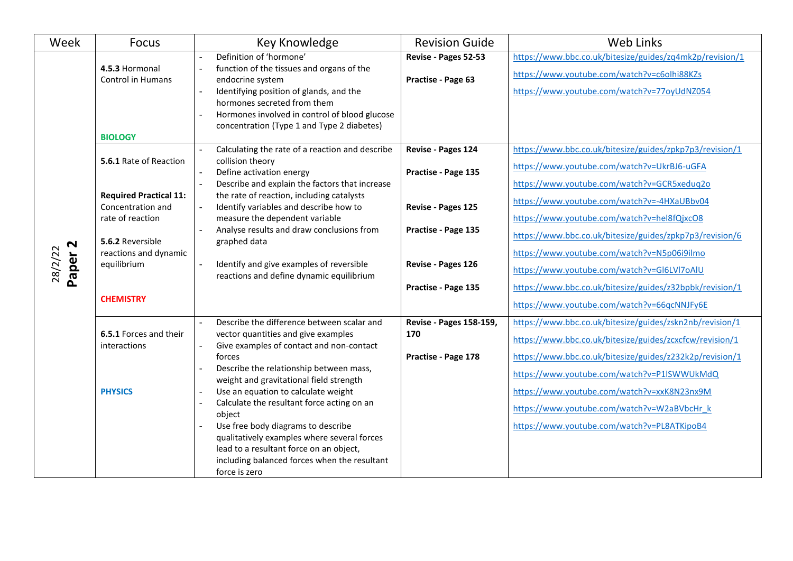| Week                          | <b>Focus</b>                                                                                                                                                                     | Key Knowledge                                                                                                                                                                                                                                                                                                                                                                                                                                                                                                                                                     | <b>Revision Guide</b>                                                                                                               | Web Links                                                                                                                                                                                                                                                                                                                                                                                                                                                                                                                 |
|-------------------------------|----------------------------------------------------------------------------------------------------------------------------------------------------------------------------------|-------------------------------------------------------------------------------------------------------------------------------------------------------------------------------------------------------------------------------------------------------------------------------------------------------------------------------------------------------------------------------------------------------------------------------------------------------------------------------------------------------------------------------------------------------------------|-------------------------------------------------------------------------------------------------------------------------------------|---------------------------------------------------------------------------------------------------------------------------------------------------------------------------------------------------------------------------------------------------------------------------------------------------------------------------------------------------------------------------------------------------------------------------------------------------------------------------------------------------------------------------|
| Paper <sub>2</sub><br>28/2/22 | 4.5.3 Hormonal<br>Control in Humans<br><b>BIOLOGY</b>                                                                                                                            | Definition of 'hormone'<br>function of the tissues and organs of the<br>$\overline{a}$<br>endocrine system<br>Identifying position of glands, and the<br>hormones secreted from them<br>Hormones involved in control of blood glucose<br>concentration (Type 1 and Type 2 diabetes)                                                                                                                                                                                                                                                                               | Revise - Pages 52-53<br>Practise - Page 63                                                                                          | https://www.bbc.co.uk/bitesize/guides/zq4mk2p/revision/1<br>https://www.youtube.com/watch?v=c6olhi88KZs<br>https://www.youtube.com/watch?v=77oyUdNZ054                                                                                                                                                                                                                                                                                                                                                                    |
|                               | 5.6.1 Rate of Reaction<br><b>Required Practical 11:</b><br>Concentration and<br>rate of reaction<br>5.6.2 Reversible<br>reactions and dynamic<br>equilibrium<br><b>CHEMISTRY</b> | Calculating the rate of a reaction and describe<br>collision theory<br>Define activation energy<br>$\overline{a}$<br>Describe and explain the factors that increase<br>the rate of reaction, including catalysts<br>Identify variables and describe how to<br>measure the dependent variable<br>Analyse results and draw conclusions from<br>$\overline{a}$<br>graphed data<br>Identify and give examples of reversible<br>reactions and define dynamic equilibrium                                                                                               | Revise - Pages 124<br>Practise - Page 135<br>Revise - Pages 125<br>Practise - Page 135<br>Revise - Pages 126<br>Practise - Page 135 | https://www.bbc.co.uk/bitesize/guides/zpkp7p3/revision/1<br>https://www.youtube.com/watch?v=UkrBJ6-uGFA<br>https://www.youtube.com/watch?v=GCR5xeduq2o<br>https://www.youtube.com/watch?v=-4HXaUBbv04<br>https://www.youtube.com/watch?v=hel8fQjxcO8<br>https://www.bbc.co.uk/bitesize/guides/zpkp7p3/revision/6<br>https://www.youtube.com/watch?v=N5p06i9ilmo<br>https://www.youtube.com/watch?v=GI6LVI7oAIU<br>https://www.bbc.co.uk/bitesize/guides/z32bpbk/revision/1<br>https://www.youtube.com/watch?v=66qcNNJFy6E |
|                               | 6.5.1 Forces and their<br>interactions<br><b>PHYSICS</b>                                                                                                                         | Describe the difference between scalar and<br>vector quantities and give examples<br>Give examples of contact and non-contact<br>$\overline{a}$<br>forces<br>Describe the relationship between mass,<br>weight and gravitational field strength<br>Use an equation to calculate weight<br>$\overline{a}$<br>Calculate the resultant force acting on an<br>object<br>Use free body diagrams to describe<br>qualitatively examples where several forces<br>lead to a resultant force on an object,<br>including balanced forces when the resultant<br>force is zero | Revise - Pages 158-159,<br>170<br>Practise - Page 178                                                                               | https://www.bbc.co.uk/bitesize/guides/zskn2nb/revision/1<br>https://www.bbc.co.uk/bitesize/guides/zcxcfcw/revision/1<br>https://www.bbc.co.uk/bitesize/guides/z232k2p/revision/1<br>https://www.youtube.com/watch?v=P1ISWWUkMdQ<br>https://www.youtube.com/watch?v=xxK8N23nx9M<br>https://www.youtube.com/watch?v=W2aBVbcHr k<br>https://www.youtube.com/watch?v=PL8ATKipoB4                                                                                                                                              |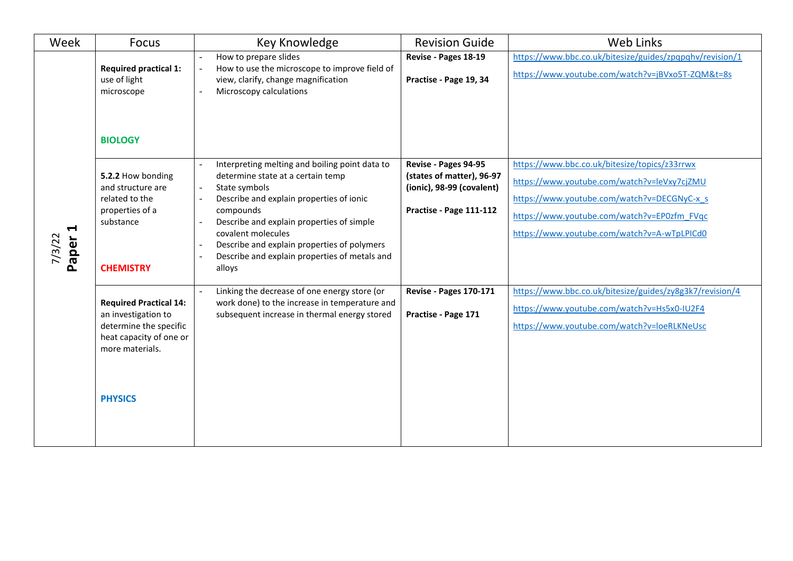| Week                                     | <b>Focus</b>                                                                                                                                   | Key Knowledge                                                                                                                                                                                                                                                                                                                              | <b>Revision Guide</b>                                                                                     | Web Links                                                                                                                                                                                                                                 |
|------------------------------------------|------------------------------------------------------------------------------------------------------------------------------------------------|--------------------------------------------------------------------------------------------------------------------------------------------------------------------------------------------------------------------------------------------------------------------------------------------------------------------------------------------|-----------------------------------------------------------------------------------------------------------|-------------------------------------------------------------------------------------------------------------------------------------------------------------------------------------------------------------------------------------------|
|                                          | <b>Required practical 1:</b><br>use of light<br>microscope<br><b>BIOLOGY</b>                                                                   | How to prepare slides<br>How to use the microscope to improve field of<br>view, clarify, change magnification<br>Microscopy calculations                                                                                                                                                                                                   | Revise - Pages 18-19<br>Practise - Page 19, 34                                                            | https://www.bbc.co.uk/bitesize/guides/zpqpqhv/revision/1<br>https://www.youtube.com/watch?v=jBVxo5T-ZQM&t=8s                                                                                                                              |
| $\blacktriangleright$<br>7/3/22<br>Paper | 5.2.2 How bonding<br>and structure are<br>related to the<br>properties of a<br>substance<br><b>CHEMISTRY</b>                                   | Interpreting melting and boiling point data to<br>determine state at a certain temp<br>State symbols<br>Describe and explain properties of ionic<br>compounds<br>Describe and explain properties of simple<br>covalent molecules<br>Describe and explain properties of polymers<br>Describe and explain properties of metals and<br>alloys | Revise - Pages 94-95<br>(states of matter), 96-97<br>(ionic), 98-99 (covalent)<br>Practise - Page 111-112 | https://www.bbc.co.uk/bitesize/topics/z33rrwx<br>https://www.youtube.com/watch?v=leVxy7cjZMU<br>https://www.youtube.com/watch?v=DECGNyC-x s<br>https://www.youtube.com/watch?v=EP0zfm FVqc<br>https://www.youtube.com/watch?v=A-wTpLPICd0 |
|                                          | <b>Required Practical 14:</b><br>an investigation to<br>determine the specific<br>heat capacity of one or<br>more materials.<br><b>PHYSICS</b> | Linking the decrease of one energy store (or<br>work done) to the increase in temperature and<br>subsequent increase in thermal energy stored                                                                                                                                                                                              | <b>Revise - Pages 170-171</b><br>Practise - Page 171                                                      | https://www.bbc.co.uk/bitesize/guides/zy8g3k7/revision/4<br>https://www.youtube.com/watch?v=Hs5x0-IU2F4<br>https://www.youtube.com/watch?v=loeRLKNeUsc                                                                                    |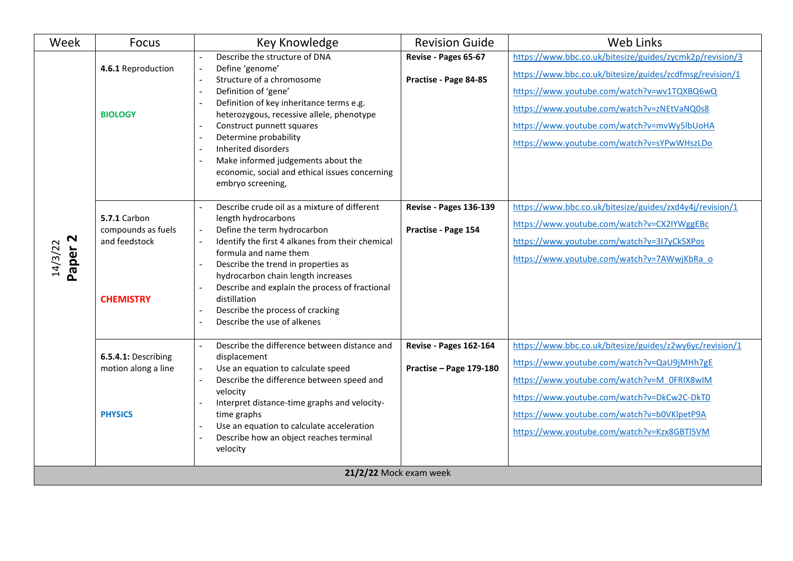| Week                          | Focus                                                                          | <b>Key Knowledge</b>                                                                                                                                                                                                                                                                                                                                                                              | <b>Revision Guide</b>                                | <b>Web Links</b>                                                                                                                                                                                                                                                                                                 |
|-------------------------------|--------------------------------------------------------------------------------|---------------------------------------------------------------------------------------------------------------------------------------------------------------------------------------------------------------------------------------------------------------------------------------------------------------------------------------------------------------------------------------------------|------------------------------------------------------|------------------------------------------------------------------------------------------------------------------------------------------------------------------------------------------------------------------------------------------------------------------------------------------------------------------|
| Paper <sub>2</sub><br>14/3/22 | 4.6.1 Reproduction<br><b>BIOLOGY</b>                                           | Describe the structure of DNA<br>Define 'genome'<br>Structure of a chromosome<br>Definition of 'gene'<br>Definition of key inheritance terms e.g.<br>heterozygous, recessive allele, phenotype<br>Construct punnett squares<br>Determine probability<br>Inherited disorders<br>Make informed judgements about the<br>economic, social and ethical issues concerning<br>embryo screening,          | Revise - Pages 65-67<br>Practise - Page 84-85        | https://www.bbc.co.uk/bitesize/guides/zycmk2p/revision/3<br>https://www.bbc.co.uk/bitesize/guides/zcdfmsg/revision/1<br>https://www.youtube.com/watch?v=wv1TQXBQ6wQ<br>https://www.youtube.com/watch?v=zNEtVaNQ0s8<br>https://www.youtube.com/watch?v=mvWy5lbUoHA<br>https://www.youtube.com/watch?v=sYPwWHszLDo |
|                               | <b>5.7.1 Carbon</b><br>compounds as fuels<br>and feedstock<br><b>CHEMISTRY</b> | Describe crude oil as a mixture of different<br>length hydrocarbons<br>Define the term hydrocarbon<br>Identify the first 4 alkanes from their chemical<br>formula and name them<br>Describe the trend in properties as<br>hydrocarbon chain length increases<br>Describe and explain the process of fractional<br>distillation<br>Describe the process of cracking<br>Describe the use of alkenes | <b>Revise - Pages 136-139</b><br>Practise - Page 154 | https://www.bbc.co.uk/bitesize/guides/zxd4y4j/revision/1<br>https://www.youtube.com/watch?v=CX2IYWggEBc<br>https://www.youtube.com/watch?v=3I7yCkSXPos<br>https://www.youtube.com/watch?v=7AWwjKbRa_o                                                                                                            |
|                               | 6.5.4.1: Describing<br>motion along a line<br><b>PHYSICS</b>                   | Describe the difference between distance and<br>displacement<br>Use an equation to calculate speed<br>Describe the difference between speed and<br>velocity<br>Interpret distance-time graphs and velocity-<br>time graphs<br>Use an equation to calculate acceleration<br>Describe how an object reaches terminal<br>velocity                                                                    | Revise - Pages 162-164<br>Practise - Page 179-180    | https://www.bbc.co.uk/bitesize/guides/z2wy6yc/revision/1<br>https://www.youtube.com/watch?v=QaU9jMHh7gE<br>https://www.youtube.com/watch?v=M_0FRIX8wIM<br>https://www.youtube.com/watch?v=DkCw2C-DkT0<br>https://www.youtube.com/watch?v=b0VKlpetP9A<br>https://www.youtube.com/watch?v=Kzx8GBTl5VM              |
| 21/2/22 Mock exam week        |                                                                                |                                                                                                                                                                                                                                                                                                                                                                                                   |                                                      |                                                                                                                                                                                                                                                                                                                  |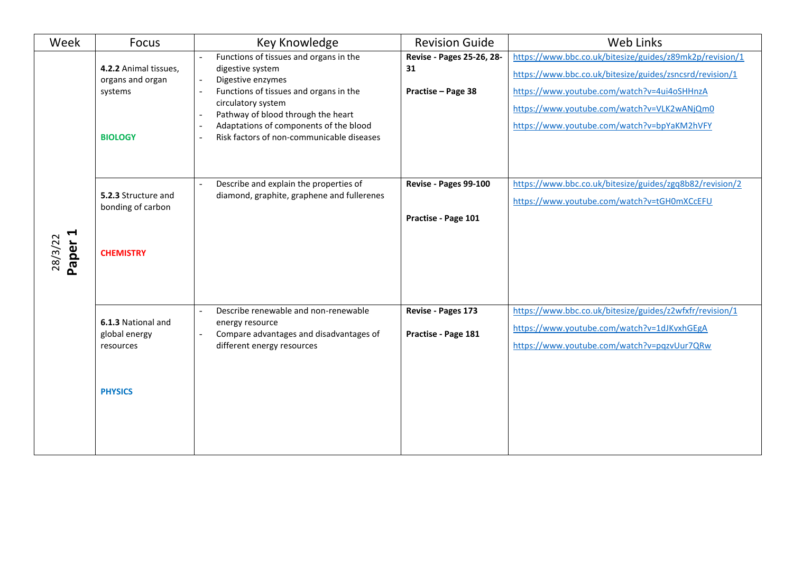| Week                                     | Focus                                                                  | Key Knowledge                                                                                                                                                                                                                                                                | <b>Revision Guide</b>                                 | Web Links                                                                                                                                                                                                                                                         |
|------------------------------------------|------------------------------------------------------------------------|------------------------------------------------------------------------------------------------------------------------------------------------------------------------------------------------------------------------------------------------------------------------------|-------------------------------------------------------|-------------------------------------------------------------------------------------------------------------------------------------------------------------------------------------------------------------------------------------------------------------------|
|                                          | 4.2.2 Animal tissues,<br>organs and organ<br>systems<br><b>BIOLOGY</b> | Functions of tissues and organs in the<br>digestive system<br>Digestive enzymes<br>Functions of tissues and organs in the<br>circulatory system<br>Pathway of blood through the heart<br>Adaptations of components of the blood<br>Risk factors of non-communicable diseases | Revise - Pages 25-26, 28-<br>31<br>Practise - Page 38 | https://www.bbc.co.uk/bitesize/guides/z89mk2p/revision/1<br>https://www.bbc.co.uk/bitesize/guides/zsncsrd/revision/1<br>https://www.youtube.com/watch?v=4ui4oSHHnzA<br>https://www.youtube.com/watch?v=VLK2wANjQm0<br>https://www.youtube.com/watch?v=bpYaKM2hVFY |
| $\blacktriangleleft$<br>28/3/22<br>Paper | 5.2.3 Structure and<br>bonding of carbon<br><b>CHEMISTRY</b>           | Describe and explain the properties of<br>diamond, graphite, graphene and fullerenes                                                                                                                                                                                         | Revise - Pages 99-100<br>Practise - Page 101          | https://www.bbc.co.uk/bitesize/guides/zgq8b82/revision/2<br>https://www.youtube.com/watch?v=tGH0mXCcEFU                                                                                                                                                           |
|                                          | 6.1.3 National and<br>global energy<br>resources<br><b>PHYSICS</b>     | Describe renewable and non-renewable<br>energy resource<br>Compare advantages and disadvantages of<br>different energy resources                                                                                                                                             | Revise - Pages 173<br>Practise - Page 181             | https://www.bbc.co.uk/bitesize/guides/z2wfxfr/revision/1<br>https://www.youtube.com/watch?v=1dJKvxhGEgA<br>https://www.youtube.com/watch?v=pqzvUur7QRw                                                                                                            |